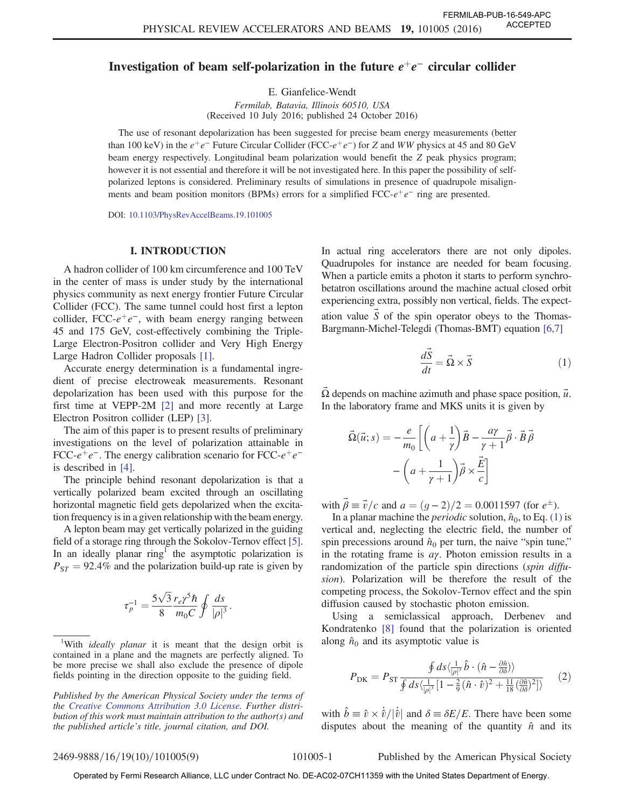## Investigation of beam self-polarization in the future  $e^+e^-$  circular collider

E. Gianfelice-Wendt Fermilab, Batavia, Illinois 60510, USA (Received 10 July 2016; published 24 October 2016)

The use of resonant depolarization has been suggested for precise beam energy measurements (better than 100 keV) in the  $e^+e^-$  Future Circular Collider (FCC- $e^+e^-$ ) for Z and WW physics at 45 and 80 GeV beam energy respectively. Longitudinal beam polarization would benefit the Z peak physics program; however it is not essential and therefore it will be not investigated here. In this paper the possibility of selfpolarized leptons is considered. Preliminary results of simulations in presence of quadrupole misalignments and beam position monitors (BPMs) errors for a simplified FCC- $e^+e^-$  ring are presented.

DOI: [10.1103/PhysRevAccelBeams.19.101005](http://dx.doi.org/10.1103/PhysRevAccelBeams.19.101005)

### I. INTRODUCTION

A hadron collider of 100 km circumference and 100 TeV in the center of mass is under study by the international physics community as next energy frontier Future Circular Collider (FCC). The same tunnel could host first a lepton collider, FCC- $e^+e^-$ , with beam energy ranging between 45 and 175 GeV, cost-effectively combining the Triple-Large Electron-Positron collider and Very High Energy Large Hadron Collider proposals [\[1\].](#page-8-0)

Accurate energy determination is a fundamental ingredient of precise electroweak measurements. Resonant depolarization has been used with this purpose for the first time at VEPP-2M [\[2\]](#page-8-1) and more recently at Large Electron Positron collider (LEP) [\[3\]](#page-8-2).

The aim of this paper is to present results of preliminary investigations on the level of polarization attainable in FCC- $e^+e^-$ . The energy calibration scenario for FCC- $e^+e^$ is described in [\[4\].](#page-8-3)

The principle behind resonant depolarization is that a vertically polarized beam excited through an oscillating horizontal magnetic field gets depolarized when the excitation frequency is in a given relationship with the beam energy.

A lepton beam may get vertically polarized in the guiding field of a storage ring through the Sokolov-Ternov effect [\[5\]](#page-8-4). In an ideally planar  $ring<sup>T</sup>$  the asymptotic polarization is  $P_{ST} = 92.4\%$  and the polarization build-up rate is given by

$$
\tau_p^{-1} = \frac{5\sqrt{3}}{8} \frac{r_e \gamma^5 \hbar}{m_0 C} \oint \frac{ds}{|\rho|^3}.
$$

<sup>1</sup>With *ideally planar* it is meant that the design orbit is contained in a plane and the magnets are perfectly aligned. To be more precise we shall also exclude the presence of dipole fields pointing in the direction opposite to the guiding field.

Published by the American Physical Society under the terms of the [Creative Commons Attribution 3.0 License.](http://creativecommons.org/licenses/by/3.0/) Further distribution of this work must maintain attribution to the author(s) and the published article's title, journal citation, and DOI.

In actual ring accelerators there are not only dipoles. Quadrupoles for instance are needed for beam focusing. When a particle emits a photon it starts to perform synchrobetatron oscillations around the machine actual closed orbit experiencing extra, possibly non vertical, fields. The expectation value  $S$  of the spin operator obeys to the Thomas-Bargmann-Michel-Telegdi (Thomas-BMT) equation [\[6,7\]](#page-8-5)

$$
\frac{d\vec{S}}{dt} = \vec{\Omega} \times \vec{S}
$$
 (1)

<span id="page-0-0"></span> $\Omega$  depends on machine azimuth and phase space position,  $\vec{u}$ . In the laboratory frame and MKS units it is given by

$$
\vec{\Omega}(\vec{u}; s) = -\frac{e}{m_0} \left[ \left( a + \frac{1}{\gamma} \right) \vec{B} - \frac{a\gamma}{\gamma + 1} \vec{\beta} \cdot \vec{B} \vec{\beta} - \left( a + \frac{1}{\gamma + 1} \right) \vec{\beta} \times \frac{\vec{E}}{c} \right]
$$

with  $\vec{\beta} \equiv \vec{v}/c$  and  $a = (g-2)/2 = 0.0011597$  (for  $e^{\pm}$ ).

In a planar machine the *periodic* solution,  $\hat{n}_0$ , to Eq. [\(1\)](#page-0-0) is vertical and, neglecting the electric field, the number of spin precessions around  $\hat{n}_0$  per turn, the naive "spin tune," in the rotating frame is  $a\gamma$ . Photon emission results in a randomization of the particle spin directions (spin diffusion). Polarization will be therefore the result of the competing process, the Sokolov-Ternov effect and the spin diffusion caused by stochastic photon emission.

<span id="page-0-1"></span>Using a semiclassical approach, Derbenev and Kondratenko [\[8\]](#page-8-6) found that the polarization is oriented along  $\hat{n}_0$  and its asymptotic value is

$$
P_{\rm DK} = P_{\rm ST} \frac{\oint ds \langle \frac{1}{|\rho|^3} \hat{b} \cdot (\hat{n} - \frac{\partial \hat{n}}{\partial \delta}) \rangle}{\oint ds \langle \frac{1}{|\rho|^3} \left[ 1 - \frac{2}{9} (\hat{n} \cdot \hat{v})^2 + \frac{11}{18} (\frac{\partial \hat{n}}{\partial \delta})^2 \right] \rangle} \tag{2}
$$

with  $\hat{b} \equiv \hat{v} \times \dot{\hat{v}} / |\dot{\hat{v}}|$  and  $\delta \equiv \delta E/E$ . There have been some disputes about the meaning of the quantity  $\hat{n}$  and its

2469-9888/16/19(10)/101005(9) 101005-1 Published by the American Physical Society

Operated by Fermi Research Alliance, LLC under Contract No. DE-AC02-07CH11359 with the United States Department of Energy.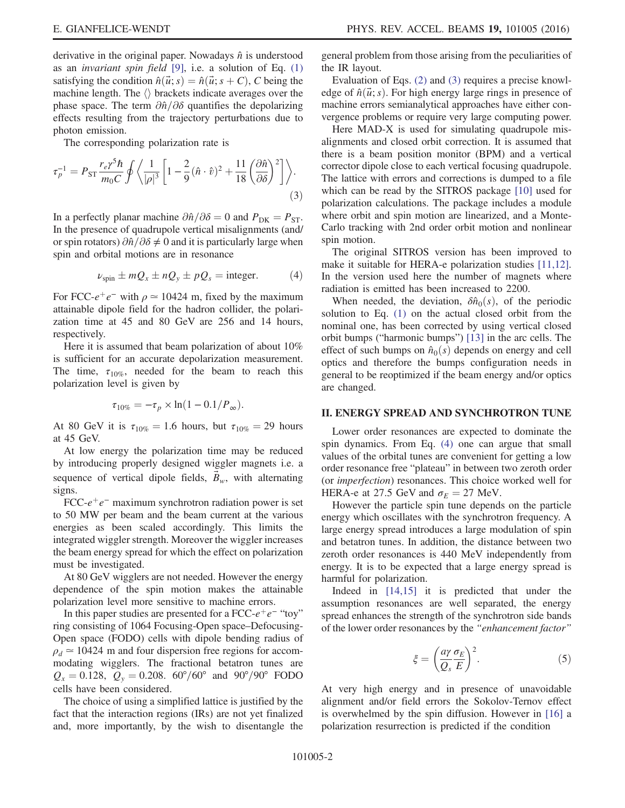derivative in the original paper. Nowadays  $\hat{n}$  is understood as an invariant spin field [\[9\]](#page-8-7), i.e. a solution of Eq. [\(1\)](#page-0-0) satisfying the condition  $\hat{n}(\vec{u}; s) = \hat{n}(\vec{u}; s + C)$ , C being the machine length. The  $\langle \rangle$  brackets indicate averages over the phase space. The term  $\partial \hat{n}/\partial \delta$  quantifies the depolarizing effects resulting from the trajectory perturbations due to photon emission.

<span id="page-1-0"></span>The corresponding polarization rate is

$$
\tau_p^{-1} = P_{\rm ST} \frac{r_e \gamma^5 \hbar}{m_0 C} \oint \left\langle \frac{1}{|\rho|^3} \left[ 1 - \frac{2}{9} (\hat{n} \cdot \hat{v})^2 + \frac{11}{18} \left( \frac{\partial \hat{n}}{\partial \delta} \right)^2 \right] \right\rangle.
$$
\n(3)

<span id="page-1-1"></span>In a perfectly planar machine  $\partial \hat{n}/\partial \delta = 0$  and  $P_{\text{DK}} = P_{\text{ST}}$ . In the presence of quadrupole vertical misalignments (and/ or spin rotators)  $\partial \hat{n}/\partial \delta \neq 0$  and it is particularly large when spin and orbital motions are in resonance

$$
\nu_{\rm spin} \pm mQ_x \pm nQ_y \pm pQ_s = \text{integer.} \tag{4}
$$

For FCC- $e^+e^-$  with  $\rho \simeq 10424$  m, fixed by the maximum attainable dipole field for the hadron collider, the polarization time at 45 and 80 GeV are 256 and 14 hours, respectively.

Here it is assumed that beam polarization of about 10% is sufficient for an accurate depolarization measurement. The time,  $\tau_{10\%}$ , needed for the beam to reach this polarization level is given by

$$
\tau_{10\%} = -\tau_p \times \ln(1 - 0.1/P_{\infty}).
$$

At 80 GeV it is  $\tau_{10\%} = 1.6$  hours, but  $\tau_{10\%} = 29$  hours at 45 GeV.

At low energy the polarization time may be reduced by introducing properly designed wiggler magnets i.e. a sequence of vertical dipole fields,  $\vec{B}_w$ , with alternating signs.

FCC- $e^+e^-$  maximum synchrotron radiation power is set to 50 MW per beam and the beam current at the various energies as been scaled accordingly. This limits the integrated wiggler strength. Moreover the wiggler increases the beam energy spread for which the effect on polarization must be investigated.

At 80 GeV wigglers are not needed. However the energy dependence of the spin motion makes the attainable polarization level more sensitive to machine errors.

In this paper studies are presented for a FCC- $e^+e^-$  "toy" ring consisting of 1064 Focusing-Open space–Defocusing-Open space (FODO) cells with dipole bending radius of  $\rho_d \approx 10424$  m and four dispersion free regions for accommodating wigglers. The fractional betatron tunes are  $Q_x = 0.128$ ,  $Q_y = 0.208$ .  $60^{\circ}/60^{\circ}$  and  $90^{\circ}/90^{\circ}$  FODO cells have been considered.

The choice of using a simplified lattice is justified by the fact that the interaction regions (IRs) are not yet finalized and, more importantly, by the wish to disentangle the general problem from those arising from the peculiarities of the IR layout.

Evaluation of Eqs. [\(2\)](#page-0-1) and [\(3\)](#page-1-0) requires a precise knowledge of  $\hat{n}(\vec{u}; s)$ . For high energy large rings in presence of machine errors semianalytical approaches have either convergence problems or require very large computing power.

Here MAD-X is used for simulating quadrupole misalignments and closed orbit correction. It is assumed that there is a beam position monitor (BPM) and a vertical corrector dipole close to each vertical focusing quadrupole. The lattice with errors and corrections is dumped to a file which can be read by the SITROS package [\[10\]](#page-8-8) used for polarization calculations. The package includes a module where orbit and spin motion are linearized, and a Monte-Carlo tracking with 2nd order orbit motion and nonlinear spin motion.

The original SITROS version has been improved to make it suitable for HERA-e polarization studies [\[11,12\]](#page-8-9). In the version used here the number of magnets where radiation is emitted has been increased to 2200.

When needed, the deviation,  $\delta \hat{n}_0(s)$ , of the periodic solution to Eq. [\(1\)](#page-0-0) on the actual closed orbit from the nominal one, has been corrected by using vertical closed orbit bumps ("harmonic bumps") [\[13\]](#page-8-10) in the arc cells. The effect of such bumps on  $\hat{n}_0(s)$  depends on energy and cell optics and therefore the bumps configuration needs in general to be reoptimized if the beam energy and/or optics are changed.

#### II. ENERGY SPREAD AND SYNCHROTRON TUNE

Lower order resonances are expected to dominate the spin dynamics. From Eq. [\(4\)](#page-1-1) one can argue that small values of the orbital tunes are convenient for getting a low order resonance free "plateau" in between two zeroth order (or imperfection) resonances. This choice worked well for HERA-e at 27.5 GeV and  $\sigma_E = 27$  MeV.

However the particle spin tune depends on the particle energy which oscillates with the synchrotron frequency. A large energy spread introduces a large modulation of spin and betatron tunes. In addition, the distance between two zeroth order resonances is 440 MeV independently from energy. It is to be expected that a large energy spread is harmful for polarization.

<span id="page-1-2"></span>Indeed in [\[14,15\]](#page-8-11) it is predicted that under the assumption resonances are well separated, the energy spread enhances the strength of the synchrotron side bands of the lower order resonances by the "enhancement factor"

$$
\xi = \left(\frac{a\gamma}{Q_s} \frac{\sigma_E}{E}\right)^2. \tag{5}
$$

<span id="page-1-3"></span>At very high energy and in presence of unavoidable alignment and/or field errors the Sokolov-Ternov effect is overwhelmed by the spin diffusion. However in [\[16\]](#page-8-12) a polarization resurrection is predicted if the condition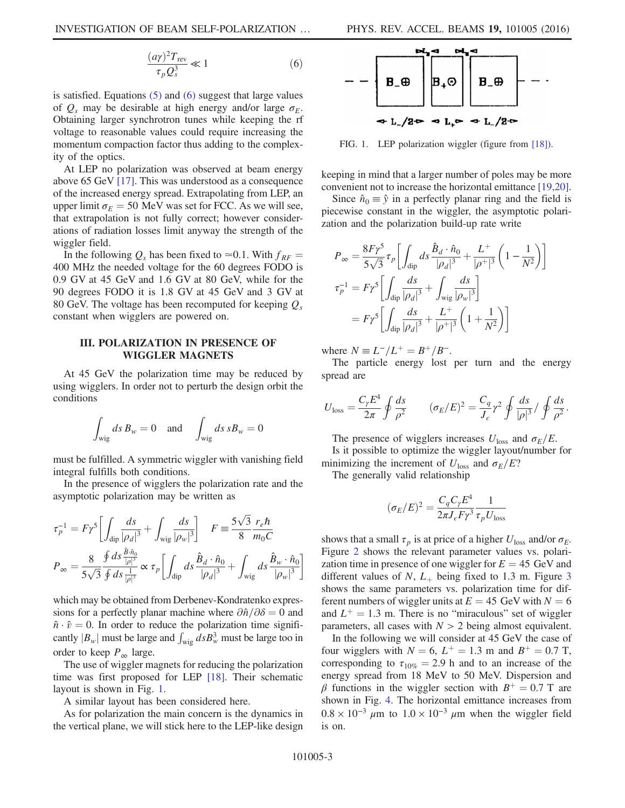$$
\frac{(a\gamma)^2 T_{\text{rev}}}{\tau_p Q_s^3} \ll 1\tag{6}
$$

is satisfied. Equations [\(5\)](#page-1-2) and [\(6\)](#page-1-3) suggest that large values of  $Q_s$  may be desirable at high energy and/or large  $\sigma_F$ . Obtaining larger synchrotron tunes while keeping the rf voltage to reasonable values could require increasing the momentum compaction factor thus adding to the complexity of the optics.

At LEP no polarization was observed at beam energy above 65 GeV [\[17\].](#page-8-13) This was understood as a consequence of the increased energy spread. Extrapolating from LEP, an upper limit  $\sigma_E = 50$  MeV was set for FCC. As we will see, that extrapolation is not fully correct; however considerations of radiation losses limit anyway the strength of the wiggler field.

In the following  $Q_s$  has been fixed to ≃0.1. With  $f_{RF}$  = 400 MHz the needed voltage for the 60 degrees FODO is 0.9 GV at 45 GeV and 1.6 GV at 80 GeV, while for the 90 degrees FODO it is 1.8 GV at 45 GeV and 3 GV at 80 GeV. The voltage has been recomputed for keeping  $Q_s$ constant when wigglers are powered on.

### III. POLARIZATION IN PRESENCE OF WIGGLER MAGNETS

At 45 GeV the polarization time may be reduced by using wigglers. In order not to perturb the design orbit the conditions

$$
\int_{\text{wig}} ds \, B_w = 0 \quad \text{and} \quad \int_{\text{wig}} ds \, s B_w = 0
$$

must be fulfilled. A symmetric wiggler with vanishing field integral fulfills both conditions.

In the presence of wigglers the polarization rate and the asymptotic polarization may be written as

$$
\tau_p^{-1} = F\gamma^5 \left[ \int_{\text{dip}} \frac{ds}{|\rho_d|^3} + \int_{\text{wig}} \frac{ds}{|\rho_w|^3} \right] \quad F \equiv \frac{5\sqrt{3}}{8} \frac{r_e \hbar}{m_0 C}
$$

$$
P_{\infty} = \frac{8}{5\sqrt{3}} \frac{\oint ds \frac{\hat{B} \cdot \hat{n}_0}{|\rho|^3}}{\oint ds \frac{1}{|\rho|^3}} \propto \tau_p \left[ \int_{\text{dip}} ds \frac{\hat{B}_d \cdot \hat{n}_0}{|\rho_d|^3} + \int_{\text{wig}} ds \frac{\hat{B}_w \cdot \hat{n}_0}{|\rho_w|^3} \right]
$$

which may be obtained from Derbenev-Kondratenko expressions for a perfectly planar machine where  $\partial \hat{n}/\partial \delta=0$  and  $\hat{n} \cdot \hat{v} = 0$ . In order to reduce the polarization time significantly  $|B_w|$  must be large and  $\int_{\text{wig}} ds B_w^3$  must be large too in order to keep  $P_{\infty}$  large.

The use of wiggler magnets for reducing the polarization time was first proposed for LEP [\[18\]](#page-8-14). Their schematic layout is shown in Fig. [1](#page-2-0).

A similar layout has been considered here.

As for polarization the main concern is the dynamics in the vertical plane, we will stick here to the LEP-like design

<span id="page-2-0"></span>

FIG. 1. LEP polarization wiggler (figure from [\[18\]\)](#page-8-14).

keeping in mind that a larger number of poles may be more convenient not to increase the horizontal emittance [\[19,20\]](#page-8-15).

Since  $\hat{n}_0 \equiv \hat{y}$  in a perfectly planar ring and the field is piecewise constant in the wiggler, the asymptotic polarization and the polarization build-up rate write

$$
P_{\infty} = \frac{8F\gamma^5}{5\sqrt{3}} \tau_p \left[ \int_{\text{dip}} ds \frac{\hat{B}_d \cdot \hat{n}_0}{|\rho_d|^3} + \frac{L^+}{|\rho^+|^3} \left( 1 - \frac{1}{N^2} \right) \right]
$$
  

$$
\tau_p^{-1} = F\gamma^5 \left[ \int_{\text{dip}} \frac{ds}{|\rho_d|^3} + \int_{\text{wig}} \frac{ds}{|\rho_w|^3} \right]
$$
  

$$
= F\gamma^5 \left[ \int_{\text{dip}} \frac{ds}{|\rho_d|^3} + \frac{L^+}{|\rho^+|^3} \left( 1 + \frac{1}{N^2} \right) \right]
$$

where  $N = L^{-}/L^{+} = B^{+}/B^{-}$ .

The particle energy lost per turn and the energy spread are

$$
U_{\text{loss}} = \frac{C_{\gamma} E^4}{2\pi} \oint \frac{ds}{\rho^2} \qquad (\sigma_E/E)^2 = \frac{C_q}{J_{\epsilon}} \gamma^2 \oint \frac{ds}{|\rho|^3} / \oint \frac{ds}{\rho^2}.
$$

The presence of wigglers increases  $U_{\text{loss}}$  and  $\sigma_E/E$ .

Is it possible to optimize the wiggler layout/number for minimizing the increment of  $U_{\text{loss}}$  and  $\sigma_E/E$ ?

The generally valid relationship

$$
(\sigma_E/E)^2 = \frac{C_q C_\gamma E^4}{2\pi J_e F \gamma^3} \frac{1}{\tau_p U_{\text{loss}}}
$$

shows that a small  $\tau_p$  is at price of a higher  $U_{\text{loss}}$  and/or  $\sigma_E$ . Figure [2](#page-3-0) shows the relevant parameter values vs. polarization time in presence of one wiggler for  $E = 45$  GeV and different values of N,  $L_+$  being fixed to 1.[3](#page-4-0) m. Figure 3 shows the same parameters vs. polarization time for different numbers of wiggler units at  $E = 45$  GeV with  $N = 6$ and  $L^+ = 1.3$  m. There is no "miraculous" set of wiggler parameters, all cases with  $N > 2$  being almost equivalent.

In the following we will consider at 45 GeV the case of four wigglers with  $N = 6$ ,  $L^+ = 1.3$  m and  $B^+ = 0.7$  T, corresponding to  $\tau_{10\%} = 2.9$  h and to an increase of the energy spread from 18 MeV to 50 MeV. Dispersion and β functions in the wiggler section with  $B^+ = 0.7$  T are shown in Fig. [4.](#page-4-1) The horizontal emittance increases from  $0.8 \times 10^{-3}$  µm to  $1.0 \times 10^{-3}$  µm when the wiggler field is on.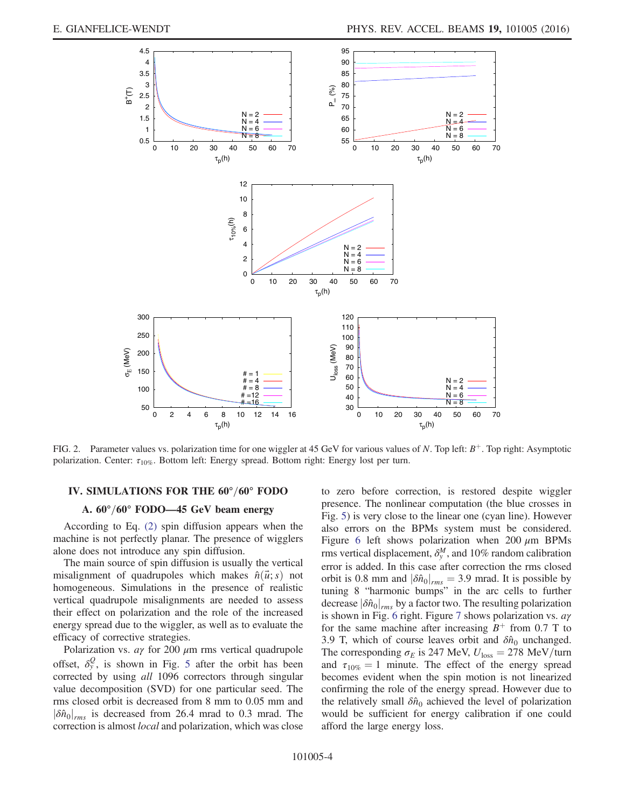<span id="page-3-0"></span>

FIG. 2. Parameter values vs. polarization time for one wiggler at 45 GeV for various values of N. Top left:  $B^+$ . Top right: Asymptotic polarization. Center:  $\tau_{10\%}$ . Bottom left: Energy spread. Bottom right: Energy lost per turn.

### IV. SIMULATIONS FOR THE 60°/60° FODO

## A.  $60^{\circ}/60^{\circ}$  FODO—45 GeV beam energy

According to Eq. [\(2\)](#page-0-1) spin diffusion appears when the machine is not perfectly planar. The presence of wigglers alone does not introduce any spin diffusion.

The main source of spin diffusion is usually the vertical misalignment of quadrupoles which makes  $\hat{n}(\vec{u}; s)$  not homogeneous. Simulations in the presence of realistic vertical quadrupole misalignments are needed to assess their effect on polarization and the role of the increased energy spread due to the wiggler, as well as to evaluate the efficacy of corrective strategies.

Polarization vs.  $a\gamma$  for 200  $\mu$ m rms vertical quadrupole offset,  $\delta_y^Q$ , is shown in Fig. [5](#page-4-2) after the orbit has been corrected by using *all* 1096 correctors through singular value decomposition (SVD) for one particular seed. The rms closed orbit is decreased from 8 mm to 0.05 mm and  $|\delta \hat{n}_0|_{rms}$  is decreased from 26.4 mrad to 0.3 mrad. The correction is almost local and polarization, which was close to zero before correction, is restored despite wiggler presence. The nonlinear computation (the blue crosses in Fig. [5\)](#page-4-2) is very close to the linear one (cyan line). However also errors on the BPMs system must be considered. Figure [6](#page-5-0) left shows polarization when 200  $\mu$ m BPMs rms vertical displacement,  $\delta_y^M$ , and 10% random calibration error is added. In this case after correction the rms closed orbit is 0.8 mm and  $|\delta \hat{n}_0|_{rms} = 3.9$  mrad. It is possible by tuning 8 "harmonic bumps" in the arc cells to further decrease  $|\delta \hat{n}_0|_{rms}$  by a factor two. The resulting polarization is shown in Fig. [6](#page-5-0) right. Figure [7](#page-5-1) shows polarization vs. aγ for the same machine after increasing  $B^+$  from 0.7 T to 3.9 T, which of course leaves orbit and  $\delta \hat{n}_0$  unchanged. The corresponding  $\sigma_E$  is 247 MeV,  $U_{\text{loss}} = 278 \text{ MeV}/\text{turn}$ and  $\tau_{10\%} = 1$  minute. The effect of the energy spread becomes evident when the spin motion is not linearized confirming the role of the energy spread. However due to the relatively small  $\delta \hat{n}_0$  achieved the level of polarization would be sufficient for energy calibration if one could afford the large energy loss.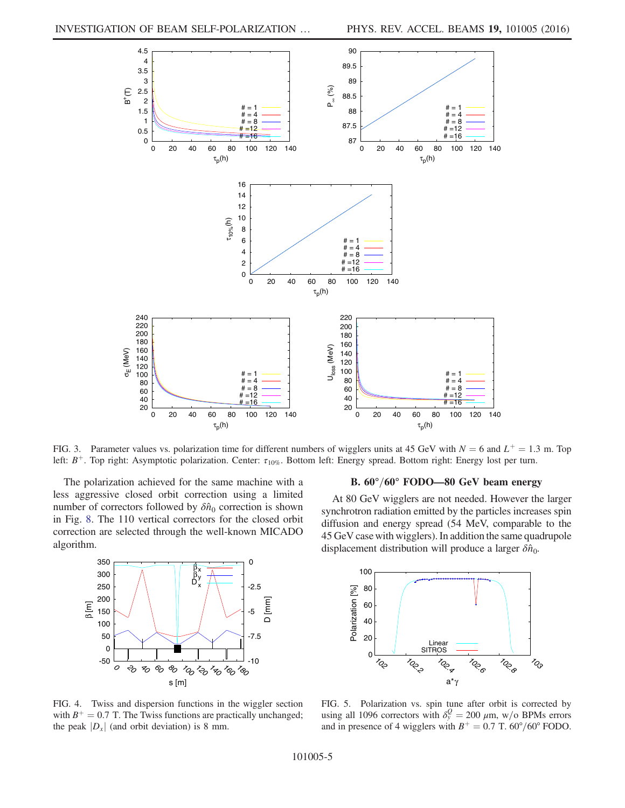<span id="page-4-0"></span>

FIG. 3. Parameter values vs. polarization time for different numbers of wigglers units at 45 GeV with  $N = 6$  and  $L^+ = 1.3$  m. Top left:  $B^+$ . Top right: Asymptotic polarization. Center:  $\tau_{10\%}$ . Bottom left: Energy spread. Bottom right: Energy lost per turn.

The polarization achieved for the same machine with a less aggressive closed orbit correction using a limited number of correctors followed by  $\delta \hat{n}_0$  correction is shown in Fig. [8](#page-5-2). The 110 vertical correctors for the closed orbit correction are selected through the well-known MICADO algorithm.

<span id="page-4-1"></span>

# B.  $60^{\circ}/60^{\circ}$  FODO—80 GeV beam energy

At 80 GeV wigglers are not needed. However the larger synchrotron radiation emitted by the particles increases spin diffusion and energy spread (54 MeV, comparable to the 45 GeV case with wigglers). In addition the same quadrupole displacement distribution will produce a larger  $\delta \hat{n}_{0}$ .

<span id="page-4-2"></span>

FIG. 4. Twiss and dispersion functions in the wiggler section with  $B^+ = 0.7$  T. The Twiss functions are practically unchanged; the peak  $|D<sub>x</sub>|$  (and orbit deviation) is 8 mm.

FIG. 5. Polarization vs. spin tune after orbit is corrected by using all 1096 correctors with  $\delta_y^Q = 200 \ \mu \text{m}$ , w/o BPMs errors and in presence of 4 wigglers with  $B^+ = 0.7$  T. 60°/60° FODO.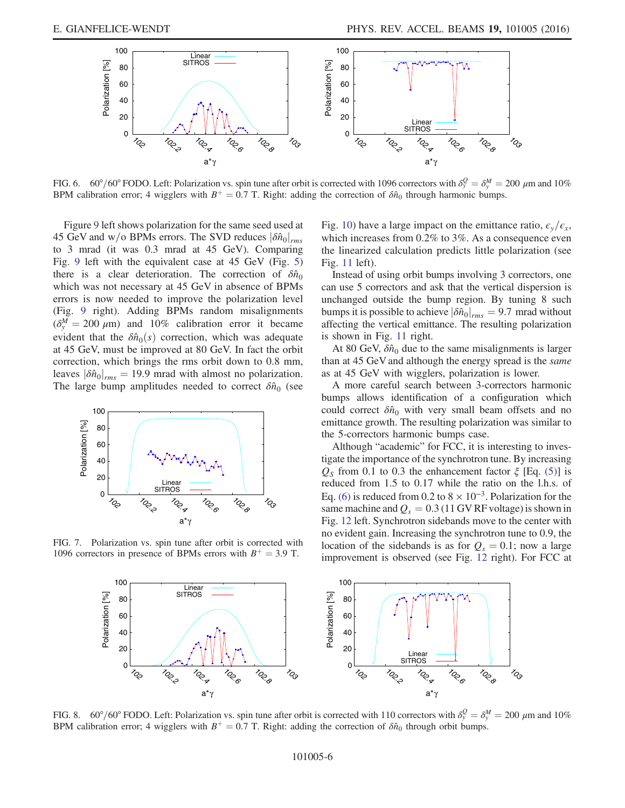<span id="page-5-0"></span>

FIG. 6.  $60^{\circ}/60^{\circ}$  FODO. Left: Polarization vs. spin tune after orbit is corrected with 1096 correctors with  $\delta_y^Q = \delta_y^M = 200 \ \mu$ m and 10% BPM calibration error; 4 wigglers with  $B^+ = 0.7$  T. Right: adding the correction of  $\delta \hat{n}_0$  through harmonic bumps.

Figure [9](#page-6-0) left shows polarization for the same seed used at 45 GeV and w/o BPMs errors. The SVD reduces  $|\delta \hat{n}_0|_{rms}$ to 3 mrad (it was 0.3 mrad at 45 GeV). Comparing Fig. [9](#page-6-0) left with the equivalent case at 45 GeV (Fig. [5\)](#page-4-2) there is a clear deterioration. The correction of  $\delta \hat{n}_0$ which was not necessary at 45 GeV in absence of BPMs errors is now needed to improve the polarization level (Fig. [9](#page-6-0) right). Adding BPMs random misalignments  $(\delta_y^M = 200 \ \mu m)$  and 10% calibration error it became evident that the  $\delta \hat{n}_0(s)$  correction, which was adequate at 45 GeV, must be improved at 80 GeV. In fact the orbit correction, which brings the rms orbit down to 0.8 mm, leaves  $|\delta \hat{n}_0|_{rms} = 19.9$  mrad with almost no polarization. The large bump amplitudes needed to correct  $\delta \hat{n}_0$  (see

<span id="page-5-1"></span>

FIG. 7. Polarization vs. spin tune after orbit is corrected with 1096 correctors in presence of BPMs errors with  $B^+ = 3.9$  T.

Fig. [10](#page-6-1)) have a large impact on the emittance ratio,  $\epsilon_{\rm y}/\epsilon_{\rm x}$ , which increases from 0.2% to 3%. As a consequence even the linearized calculation predicts little polarization (see Fig. [11](#page-6-2) left).

Instead of using orbit bumps involving 3 correctors, one can use 5 correctors and ask that the vertical dispersion is unchanged outside the bump region. By tuning 8 such bumps it is possible to achieve  $|\delta \hat{n}_0|_{rms} = 9.7$  mrad without affecting the vertical emittance. The resulting polarization is shown in Fig. [11](#page-6-2) right.

At 80 GeV,  $\delta \hat{n}_0$  due to the same misalignments is larger than at 45 GeV and although the energy spread is the same as at 45 GeV with wigglers, polarization is lower.

A more careful search between 3-correctors harmonic bumps allows identification of a configuration which could correct  $\delta \hat{n}_0$  with very small beam offsets and no emittance growth. The resulting polarization was similar to the 5-correctors harmonic bumps case.

Although "academic" for FCC, it is interesting to investigate the importance of the synchrotron tune. By increasing  $Q<sub>S</sub>$  from 0.1 to 0.3 the enhancement factor  $\xi$  [Eq. [\(5\)\]](#page-1-2) is reduced from 1.5 to 0.17 while the ratio on the l.h.s. of Eq. [\(6\)](#page-1-3) is reduced from 0.2 to  $8 \times 10^{-3}$ . Polarization for the same machine and  $Q_s = 0.3$  (11 GV RF voltage) is shown in Fig. [12](#page-7-0) left. Synchrotron sidebands move to the center with no evident gain. Increasing the synchrotron tune to 0.9, the location of the sidebands is as for  $Q_s = 0.1$ ; now a large improvement is observed (see Fig. [12](#page-7-0) right). For FCC at

<span id="page-5-2"></span>

FIG. 8. 60°/60° FODO. Left: Polarization vs. spin tune after orbit is corrected with 110 correctors with  $\delta_y^Q = \delta_y^M = 200 \ \mu m$  and 10% BPM calibration error; 4 wigglers with  $B^+ = 0.7$  T. Right: adding the correction of  $\delta \hat{n}_0$  through orbit bumps.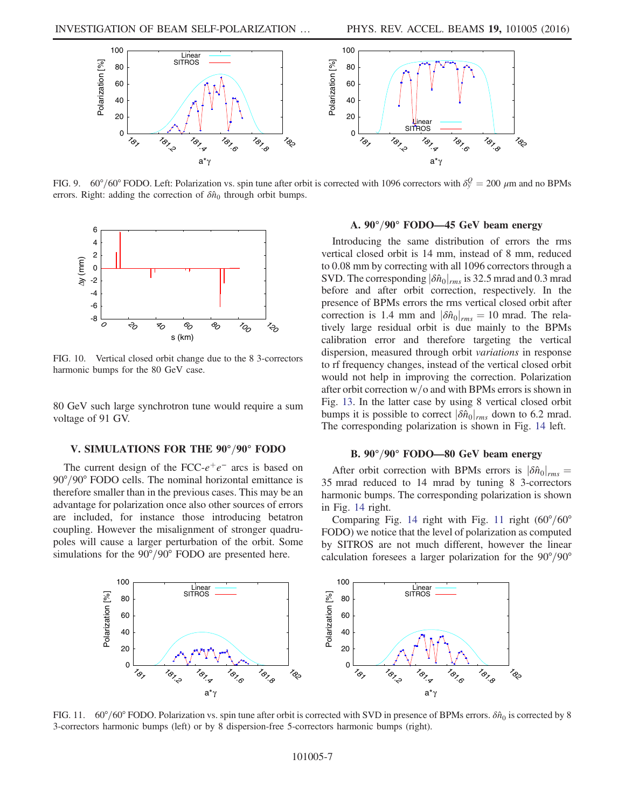<span id="page-6-0"></span>

FIG. 9. 60°/60° FODO. Left: Polarization vs. spin tune after orbit is corrected with 1096 correctors with  $\delta_y^Q = 200 \ \mu m$  and no BPMs errors. Right: adding the correction of  $\delta \hat{n}_0$  through orbit bumps.

<span id="page-6-1"></span>

FIG. 10. Vertical closed orbit change due to the 8 3-correctors harmonic bumps for the 80 GeV case.

80 GeV such large synchrotron tune would require a sum voltage of 91 GV.

### V. SIMULATIONS FOR THE 90°/90° FODO

The current design of the FCC- $e^+e^-$  arcs is based on  $90^{\circ}/90^{\circ}$  FODO cells. The nominal horizontal emittance is therefore smaller than in the previous cases. This may be an advantage for polarization once also other sources of errors are included, for instance those introducing betatron coupling. However the misalignment of stronger quadrupoles will cause a larger perturbation of the orbit. Some simulations for the  $90^{\circ}/90^{\circ}$  FODO are presented here.

### A.  $90^{\circ}/90^{\circ}$  FODO—45 GeV beam energy

Introducing the same distribution of errors the rms vertical closed orbit is 14 mm, instead of 8 mm, reduced to 0.08 mm by correcting with all 1096 correctors through a SVD. The corresponding  $|\delta \hat{n}_0|_{rms}$  is 32.5 mrad and 0.3 mrad before and after orbit correction, respectively. In the presence of BPMs errors the rms vertical closed orbit after correction is 1.4 mm and  $|\delta \hat{n}_0|_{rms} = 10$  mrad. The relatively large residual orbit is due mainly to the BPMs calibration error and therefore targeting the vertical dispersion, measured through orbit variations in response to rf frequency changes, instead of the vertical closed orbit would not help in improving the correction. Polarization after orbit correction  $w/o$  and with BPMs errors is shown in Fig. [13.](#page-7-1) In the latter case by using 8 vertical closed orbit bumps it is possible to correct  $|\delta \hat{n}_0|_{rms}$  down to 6.2 mrad. The corresponding polarization is shown in Fig. [14](#page-7-2) left.

### B. 90°/90° FODO—80 GeV beam energy

After orbit correction with BPMs errors is  $|\delta \hat{n}_0|_{rms} =$ 35 mrad reduced to 14 mrad by tuning 8 3-correctors harmonic bumps. The corresponding polarization is shown in Fig. [14](#page-7-2) right.

Comparing Fig. [14](#page-7-2) right with Fig. [11](#page-6-2) right  $(60^{\circ}/60^{\circ})$ FODO) we notice that the level of polarization as computed by SITROS are not much different, however the linear calculation foresees a larger polarization for the  $90^{\circ}/90^{\circ}$ 

<span id="page-6-2"></span>

FIG. 11. 60°/60° FODO. Polarization vs. spin tune after orbit is corrected with SVD in presence of BPMs errors.  $\delta \hat{n}_0$  is corrected by 8 3-correctors harmonic bumps (left) or by 8 dispersion-free 5-correctors harmonic bumps (right).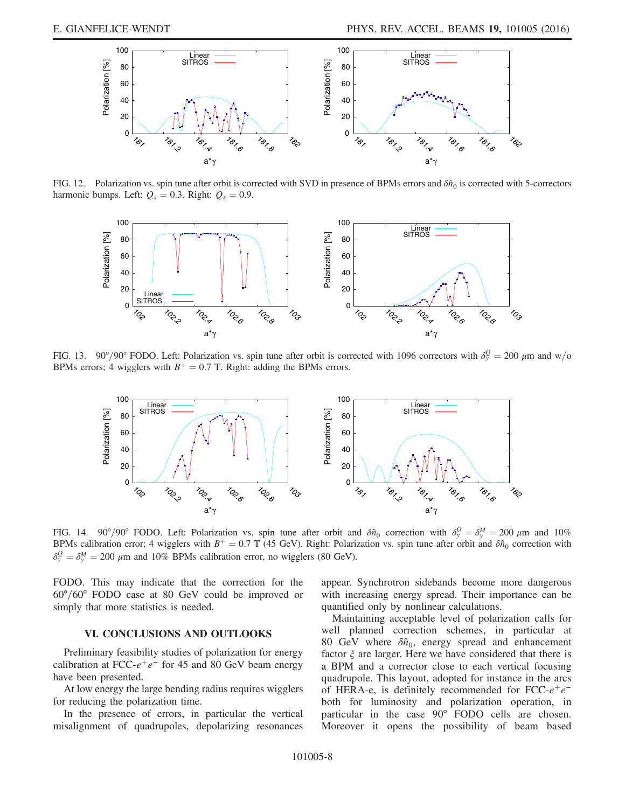<span id="page-7-0"></span>

FIG. 12. Polarization vs. spin tune after orbit is corrected with SVD in presence of BPMs errors and  $\delta \hat{n}_0$  is corrected with 5-correctors harmonic bumps. Left:  $Q_s = 0.3$ . Right:  $Q_s = 0.9$ .

<span id="page-7-1"></span>

FIG. 13. 90°/90° FODO. Left: Polarization vs. spin tune after orbit is corrected with 1096 correctors with  $\delta_y^Q = 200 \ \mu m$  and w/o BPMs errors; 4 wigglers with  $B^+ = 0.7$  T. Right: adding the BPMs errors.

<span id="page-7-2"></span>

FIG. 14. 90°/90° FODO. Left: Polarization vs. spin tune after orbit and  $\delta \hat{n}_0$  correction with  $\delta_y^Q = \delta_y^M = 200 \ \mu m$  and 10% BPMs calibration error; 4 wigglers with  $B^+ = 0.7$  T (45 GeV). Right: Polarization vs. spin tune after orbit and  $\delta \hat{n}_0$  correction with  $\delta_y^Q = \delta_y^M = 200 \ \mu \text{m}$  and 10% BPMs calibration error, no wigglers (80 GeV).

FODO. This may indicate that the correction for the  $60^{\circ}/60^{\circ}$  FODO case at 80 GeV could be improved or simply that more statistics is needed.

## VI. CONCLUSIONS AND OUTLOOKS

Preliminary feasibility studies of polarization for energy calibration at FCC- $e^+e^-$  for 45 and 80 GeV beam energy have been presented.

At low energy the large bending radius requires wigglers for reducing the polarization time.

In the presence of errors, in particular the vertical misalignment of quadrupoles, depolarizing resonances appear. Synchrotron sidebands become more dangerous with increasing energy spread. Their importance can be quantified only by nonlinear calculations.

Maintaining acceptable level of polarization calls for well planned correction schemes, in particular at 80 GeV where  $\delta \hat{n}_0$ , energy spread and enhancement factor  $\xi$  are larger. Here we have considered that there is a BPM and a corrector close to each vertical focusing quadrupole. This layout, adopted for instance in the arcs of HERA-e, is definitely recommended for FCC- $e^+e^$ both for luminosity and polarization operation, in particular in the case 90° FODO cells are chosen. Moreover it opens the possibility of beam based